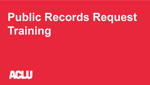# **Public Records Request Training**

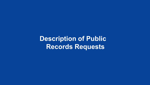**Description of Public Records Requests**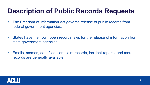# **Description of Public Records Requests**

- The Freedom of Information Act governs release of public records from federal government agencies.
- States have their own open records laws for the release of information from state government agencies.
- Emails, memos, data files, complaint records, incident reports, and more records are generally available.

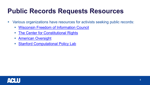#### **Public Records Requests Resources**

- Various organizations have resources for activists seeking public records:
	- [Wisconsin Freedom of Information Council](http://wisfoic.org/)
	- **The Center for Constitutional Rights**
	- **[American Oversight](https://www.americanoversight.org/tips-for-filing-public-records-requests-in-your-state-or-city)**
	- [Stanford Computational Policy Lab](https://policylab.stanford.edu/public-records/)

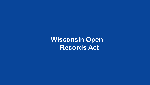**Wisconsin Open Records Act**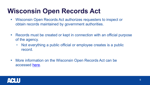# **Wisconsin Open Records Act**

- Wisconsin Open Records Act authorizes requesters to inspect or obtain records maintained by government authorities.
- Records must be created or kept in connection with an official purpose of the agency.
	- Not everything a public official or employee creates is a public record.
- More information on the Wisconsin Open Records Act can be accessed [here.](https://www.doj.state.wi.us/sites/default/files/office-open-government/Resources/PRL-GUIDE.pdf)

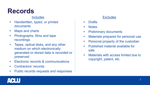## **Records**

#### **Includes**

- **Handwritten, typed, or printed** documents
- Maps and charts
- **•** Photographs, films and tape recordings
- **Tapes, optical disks, and any other** medium on which electronically generated or stored data is recorded or preserved
- **Electronic records & communications**
- **Contractors' records**
- **Public records requests and responses**

#### **Excludes**

- Drafts
- **Notes**
- Preliminary documents
- Materials prepared for personal use
- Personal property of the custodian
- Published material available for sale
- **Materials with access limited due to** copyright, patent, etc.

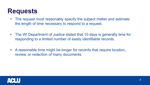#### **Requests**

- The request must reasonably specify the subject matter and estimate the length of time necessary to respond to a request.
- The WI Department of Justice stated that 10 days is generally time for responding to a limited number of easily identifiable records.
- A reasonable time might be longer for records that require location, review, or redaction of many documents.

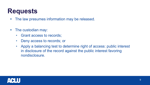#### **Requests**

- The law presumes information may be released.
- The custodian may:
	- Grant access to records;
	- Deny access to records; or
	- Apply a balancing test to determine right of access: public interest in disclosure of the record against the public interest favoring nondisclosure.

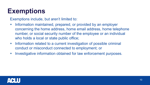# **Exemptions**

Exemptions include, but aren't limited to:

- **Information maintained, prepared, or provided by an employer** concerning the home address, home email address, home telephone number, or social security number of the employee or an individual who holds a local or state public office;
- **Information related to a current investigation of possible criminal** conduct or misconduct connected to employment; or
- Investigative information obtained for law enforcement purposes.

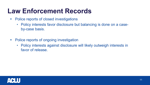### **Law Enforcement Records**

- **Police reports of closed investigations** 
	- Policy interests favor disclosure but balancing is done on a caseby-case basis.
- Police reports of ongoing investigation
	- Policy interests against disclosure will likely outweigh interests in favor of release.

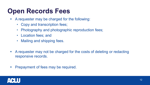# **Open Records Fees**

- A requester may be charged for the following:
	- Copy and transcription fees;
	- Photography and photographic reproduction fees;
	- Location fees; and
	- Mailing and shipping fees.
- A requester may not be charged for the costs of deleting or redacting responsive records.
- Prepayment of fees may be required.

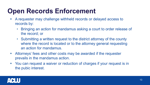# **Open Records Enforcement**

- A requester may challenge withheld records or delayed access to records by:
	- Bringing an action for mandamus asking a court to order release of the record; or
	- Submitting a written request to the district attorney of the county where the record is located or to the attorney general requesting an action for mandamus.
- Attorneys' fees and other costs may be awarded if the requester prevails in the mandamus action.
- You can request a waiver or reduction of charges if your request is in the pubic interest.

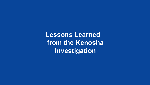**Lessons Learned from the Kenosha Investigation**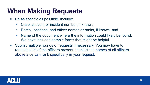# **When Making Requests**

- Be as specific as possible. Include:
	- Case, citation, or incident number, if known;
	- Dates, locations, and officer names or ranks, if known; and
	- Name of the document where the information could likely be found. We have included sample forms that might be helpful.
- Submit multiple rounds of requests if necessary. You may have to request a list of the officers present, then list the names of all officers above a certain rank specifically in your request.

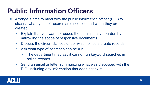# **Public Information Officers**

- Arrange a time to meet with the public information officer (PIO) to discuss what types of records are collected and when they are created.
	- Explain that you want to reduce the administrative burden by narrowing the scope of responsive documents.
	- Discuss the circumstances under which officers create records.
	- Ask what type of searches can be run.
		- The department may say it cannot run keyword searches in police records.
	- Send an email or letter summarizing what was discussed with the PIO, including any information that does not exist.

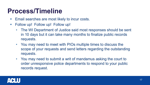#### **Process/Timeline**

- **Email searches are most likely to incur costs.**
- **Follow up! Follow up! Follow up!** 
	- The WI Department of Justice said most responses should be sent in 10 days but it can take many months to finalize public records requests.
	- You may need to meet with PIOs multiple times to discuss the scope of your requests and send letters regarding the outstanding requests.
	- You may need to submit a writ of mandamus asking the court to order unresponsive police departments to respond to your public records request.

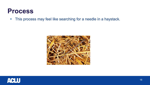#### **Process**

**This process may feel like searching for a needle in a haystack.** 



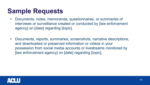#### **Sample Requests**

- Documents, notes, memoranda, questionnaires, or summaries of interviews or surveillance created or conducted by [law enforcement agency] on [date] regarding [topic].
- Documents, reports, summaries, screenshots, narrative descriptions, and downloaded or preserved information or videos in your possession from social media accounts or livestreams monitored by [law enforcement agency] on [date] regarding [topic].

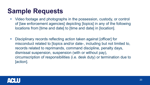### **Sample Requests**

- Video footage and photographs in the possession, custody, or control of [law enforcement agencies] depicting [topics] in any of the following locations from [time and date] to [time and date] in [location].
- Disciplinary records reflecting action taken against [officer] for misconduct related to [topics and/or date-, including but not limited to, records related to reprimands, command discipline, penalty days, dismissal suspension, suspension (with or without pay), circumscription of responsibilities (i.e. desk duty) or termination due to [action].

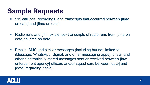### **Sample Requests**

- 911 call logs, recordings, and transcripts that occurred between [time on date] and [time on date].
- Radio runs and (if in existence) transcripts of radio runs from [time on date] to [time on date].
- Emails, SMS and similar messages (including but not limited to iMessage, WhatsApp, Signal, and other messaging apps), chats, and other electronically-stored messages sent or received between [law enforcement agency] officers and/or squad cars between [date] and [date] regarding [topic].

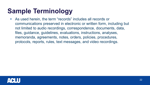# **Sample Terminology**

 As used herein, the term "records" includes all records or communications preserved in electronic or written form, including but not limited to audio recordings, correspondence, documents, data, files, guidance, guidelines, evaluations, instructions, analyses, memoranda, agreements, notes, orders, policies, procedures, protocols, reports, rules, text messages, and video recordings.

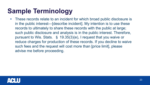# **Sample Terminology**

 These records relate to an incident for which broad public disclosure is in the public interest—[describe incident]. My intention is to use these records to ultimately to share these records with the public at large; such public disclosure and analysis is in the public interest. Therefore, pursuant to Wis. Stats. § 19.35(3)(e), I request that you waive or reduce charges for production of these records. If you decline to waive such fees and the request will cost more than [price limit], please advise me before proceeding.